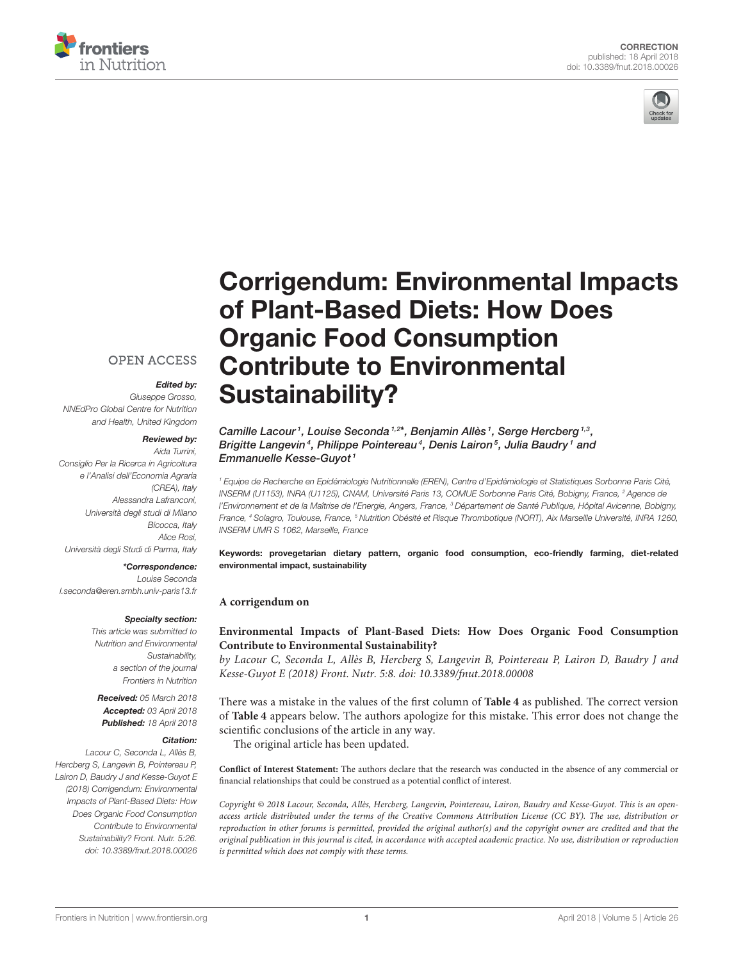



# [Corrigendum: Environmental Impacts](https://www.frontiersin.org/articles/10.3389/fnut.2018.00026/full) of Plant-Based Diets: How Does Organic Food Consumption Contribute to Environmental Sustainability?

# **OPEN ACCESS**

# Edited by:

Giuseppe Grosso, NNEdPro Global Centre for Nutrition and Health, United Kingdom

## Reviewed by:

Aida Turrini, Consiglio Per la Ricerca in Agricoltura e l'Analisi dell'Economia Agraria (CREA), Italy Alessandra Lafranconi, Università degli studi di Milano Bicocca, Italy Alice Rosi, Università degli Studi di Parma, Italy

### \*Correspondence:

Louise Seconda [l.seconda@eren.smbh.univ-paris13.fr](mailto:l.seconda@eren.smbh.univ-paris13.fr)

#### Specialty section:

This article was submitted to Nutrition and Environmental Sustainability, a section of the journal Frontiers in Nutrition

Received: 05 March 2018 Accepted: 03 April 2018 Published: 18 April 2018

## Citation:

Lacour C, Seconda L, Allès B, Hercberg S, Langevin B, Pointereau P, Lairon D, Baudry J and Kesse-Guyot E (2018) Corrigendum: Environmental Impacts of Plant-Based Diets: How Does Organic Food Consumption Contribute to Environmental Sustainability? Front. Nutr. 5:26. doi: [10.3389/fnut.2018.00026](https://doi.org/10.3389/fnut.2018.00026)

## Camille Lacour<sup>1</sup>, [Louise Seconda](http://loop.frontiersin.org/people/473168/overview)<sup>1,2\*</sup>, Benjamin Allès<sup>1</sup>, Serge Hercberg<sup>1,3</sup>, Brigitte Langevin<sup>4</sup>, [Philippe Pointereau](http://loop.frontiersin.org/people/521840/overview)<sup>4</sup>, [Denis Lairon](http://loop.frontiersin.org/people/121825/overview)<sup>5</sup>, Julia Baudry<sup>1</sup> and Emmanuelle Kesse-Guyot <sup>1</sup>

<sup>1</sup> Equipe de Recherche en Epidémiologie Nutritionnelle (EREN), Centre d'Epidémiologie et Statistiques Sorbonne Paris Cité, INSERM (U1153), INRA (U1125), CNAM, Université Paris 13, COMUE Sorbonne Paris Cité, Bobigny, France, <sup>2</sup> Agence de l'Environnement et de la Maîtrise de l'Energie, Angers, France, <sup>3</sup> Département de Santé Publique, Hôpital Avicenne, Bobigny, France, <sup>4</sup> Solagro, Toulouse, France, <sup>5</sup> Nutrition Obésité et Risque Thrombotique (NORT), Aix Marseille Université, INRA 1260, INSERM UMR S 1062, Marseille, France

Keywords: provegetarian dietary pattern, organic food consumption, eco-friendly farming, diet-related environmental impact, sustainability

## **A corrigendum on**

# **[Environmental Impacts of Plant-Based Diets: How Does Organic Food Consumption](https://doi.org/10.3389/fnut.2018.00008) Contribute to Environmental Sustainability?**

by Lacour C, Seconda L, Allès B, Hercberg S, Langevin B, Pointereau P, Lairon D, Baudry J and Kesse-Guyot E (2018) Front. Nutr. 5:8. doi: [10.3389/fnut.2018.00008](https://doi.org/10.3389/fnut.2018.00008)

There was a mistake in the values of the first column of **[Table 4](#page-1-0)** as published. The correct version of **[Table 4](#page-1-0)** appears below. The authors apologize for this mistake. This error does not change the scientific conclusions of the article in any way.

The original article has been updated.

**Conflict of Interest Statement:** The authors declare that the research was conducted in the absence of any commercial or financial relationships that could be construed as a potential conflict of interest.

Copyright © 2018 Lacour, Seconda, Allès, Hercberg, Langevin, Pointereau, Lairon, Baudry and Kesse-Guyot. This is an openaccess article distributed under the terms of the [Creative Commons Attribution License \(CC BY\).](http://creativecommons.org/licenses/by/4.0/) The use, distribution or reproduction in other forums is permitted, provided the original author(s) and the copyright owner are credited and that the original publication in this journal is cited, in accordance with accepted academic practice. No use, distribution or reproduction is permitted which does not comply with these terms.